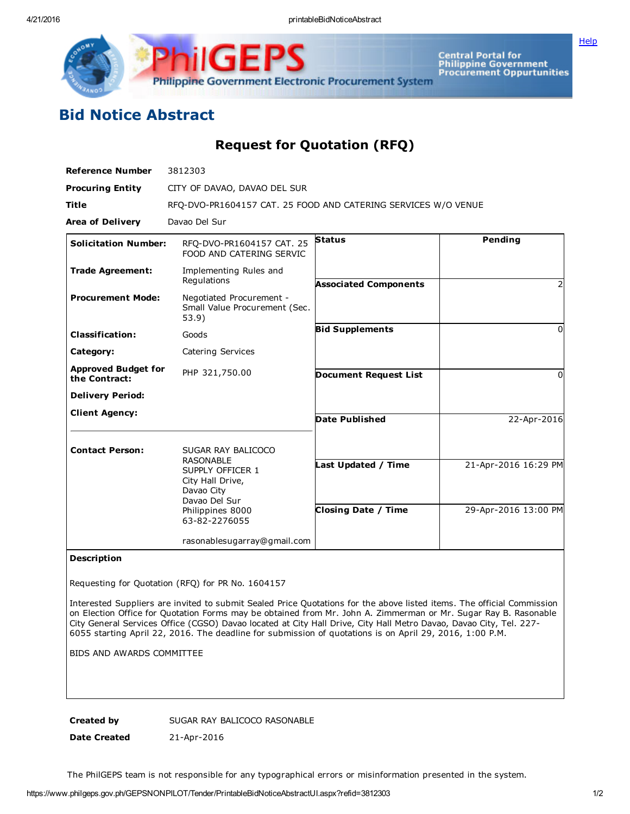Central Portal for<br>Philippine Government<br>Procurement Oppurtunities Philippine Government Electronic Procurement System

**[Help](javascript:void(window.open()** 

## Bid Notice Abstract

Request for Quotation (RFQ)

| <b>Reference Number</b>                     | 3812303                                                                                                                                            |                                                   |                                              |
|---------------------------------------------|----------------------------------------------------------------------------------------------------------------------------------------------------|---------------------------------------------------|----------------------------------------------|
| <b>Procuring Entity</b>                     | CITY OF DAVAO, DAVAO DEL SUR                                                                                                                       |                                                   |                                              |
| <b>Title</b>                                | RFO-DVO-PR1604157 CAT. 25 FOOD AND CATERING SERVICES W/O VENUE                                                                                     |                                                   |                                              |
| <b>Area of Delivery</b>                     | Davao Del Sur                                                                                                                                      |                                                   |                                              |
| <b>Solicitation Number:</b>                 | RFO-DVO-PR1604157 CAT. 25<br>FOOD AND CATERING SERVIC                                                                                              | <b>Status</b>                                     | Pending                                      |
| <b>Trade Agreement:</b>                     | Implementing Rules and<br>Regulations                                                                                                              | <b>Associated Components</b>                      |                                              |
| <b>Procurement Mode:</b>                    | Negotiated Procurement -<br>Small Value Procurement (Sec.<br>53.9)                                                                                 |                                                   |                                              |
| <b>Classification:</b>                      | Goods                                                                                                                                              | <b>Bid Supplements</b>                            | $\Omega$                                     |
| Category:                                   | Catering Services                                                                                                                                  |                                                   |                                              |
| <b>Approved Budget for</b><br>the Contract: | PHP 321,750.00                                                                                                                                     | <b>Document Request List</b>                      | <sup>0</sup>                                 |
| <b>Delivery Period:</b>                     |                                                                                                                                                    |                                                   |                                              |
| <b>Client Agency:</b>                       |                                                                                                                                                    | <b>Date Published</b>                             | 22-Apr-2016                                  |
| <b>Contact Person:</b>                      | SUGAR RAY BALICOCO<br><b>RASONABLE</b><br>SUPPLY OFFICER 1<br>City Hall Drive,<br>Davao City<br>Davao Del Sur<br>Philippines 8000<br>63-82-2276055 | Last Updated / Time<br><b>Closing Date / Time</b> | 21-Apr-2016 16:29 PM<br>29-Apr-2016 13:00 PM |
|                                             | rasonablesugarray@gmail.com                                                                                                                        |                                                   |                                              |

## Description

Requesting for Quotation (RFQ) for PR No. 1604157

Interested Suppliers are invited to submit Sealed Price Quotations for the above listed items. The official Commission on Election Office for Quotation Forms may be obtained from Mr. John A. Zimmerman or Mr. Sugar Ray B. Rasonable City General Services Office (CGSO) Davao located at City Hall Drive, City Hall Metro Davao, Davao City, Tel. 227 6055 starting April 22, 2016. The deadline for submission of quotations is on April 29, 2016, 1:00 P.M.

BIDS AND AWARDS COMMITTEE

Created by SUGAR RAY BALICOCO RASONABLE

Date Created 21-Apr-2016

The PhilGEPS team is not responsible for any typographical errors or misinformation presented in the system.